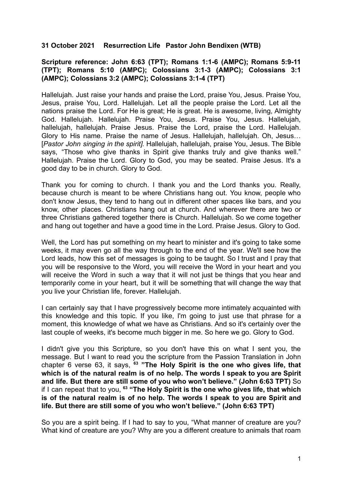## **31 October 2021 Resurrection Life Pastor John Bendixen (WTB)**

## **Scripture reference: John 6:63 (TPT); Romans 1:1-6 (AMPC); Romans 5:9-11 (TPT); Romans 5:10 (AMPC); Colossians 3:1-3 (AMPC); Colossians 3:1 (AMPC); Colossians 3:2 (AMPC); Colossians 3:1-4 (TPT)**

Hallelujah. Just raise your hands and praise the Lord, praise You, Jesus. Praise You, Jesus, praise You, Lord. Hallelujah. Let all the people praise the Lord. Let all the nations praise the Lord. For He is great; He is great. He is awesome, living, Almighty God. Hallelujah. Hallelujah. Praise You, Jesus. Praise You, Jesus. Hallelujah, hallelujah, hallelujah. Praise Jesus. Praise the Lord, praise the Lord. Hallelujah. Glory to His name. Praise the name of Jesus. Hallelujah, hallelujah. Oh, Jesus… [*Pastor John singing in the spirit].* Hallelujah, hallelujah, praise You, Jesus. The Bible says, "Those who give thanks in Spirit give thanks truly and give thanks well." Hallelujah. Praise the Lord. Glory to God, you may be seated. Praise Jesus. It's a good day to be in church. Glory to God.

Thank you for coming to church. I thank you and the Lord thanks you. Really, because church is meant to be where Christians hang out. You know, people who don't know Jesus, they tend to hang out in different other spaces like bars, and you know, other places. Christians hang out at church. And wherever there are two or three Christians gathered together there is Church. Hallelujah. So we come together and hang out together and have a good time in the Lord. Praise Jesus. Glory to God.

Well, the Lord has put something on my heart to minister and it's going to take some weeks, it may even go all the way through to the end of the year. We'll see how the Lord leads, how this set of messages is going to be taught. So I trust and I pray that you will be responsive to the Word, you will receive the Word in your heart and you will receive the Word in such a way that it will not just be things that you hear and temporarily come in your heart, but it will be something that will change the way that you live your Christian life, forever. Hallelujah.

I can certainly say that I have progressively become more intimately acquainted with this knowledge and this topic. If you like, I'm going to just use that phrase for a moment, this knowledge of what we have as Christians. And so it's certainly over the last couple of weeks, it's become much bigger in me. So here we go. Glory to God.

I didn't give you this Scripture, so you don't have this on what I sent you, the message. But I want to read you the scripture from the Passion Translation in John chapter 6 verse 63, it says, **<sup>63</sup> "The Holy Spirit is the one who gives life, that which is of the natural realm is of no help. The words I speak to you are Spirit and life. But there are still some of you who won't believe." (John 6:63 TPT)** So if I can repeat that to you, **<sup>63</sup> "The Holy Spirit is the one who gives life, that which is of the natural realm is of no help. The words I speak to you are Spirit and life. But there are still some of you who won't believe." (John 6:63 TPT)**

So you are a spirit being. If I had to say to you, "What manner of creature are you? What kind of creature are you? Why are you a different creature to animals that roam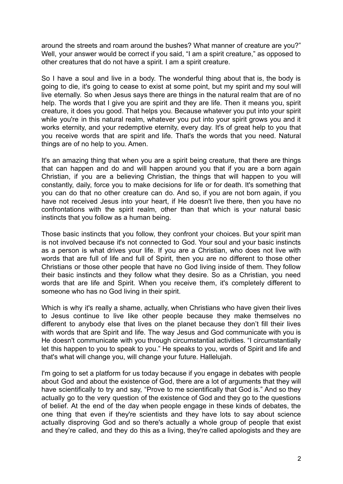around the streets and roam around the bushes? What manner of creature are you?" Well, your answer would be correct if you said, "I am a spirit creature," as opposed to other creatures that do not have a spirit. I am a spirit creature.

So I have a soul and live in a body. The wonderful thing about that is, the body is going to die, it's going to cease to exist at some point, but my spirit and my soul will live eternally. So when Jesus says there are things in the natural realm that are of no help. The words that I give you are spirit and they are life. Then it means you, spirit creature, it does you good. That helps you. Because whatever you put into your spirit while you're in this natural realm, whatever you put into your spirit grows you and it works eternity, and your redemptive eternity, every day. It's of great help to you that you receive words that are spirit and life. That's the words that you need. Natural things are of no help to you. Amen.

It's an amazing thing that when you are a spirit being creature, that there are things that can happen and do and will happen around you that if you are a born again Christian, if you are a believing Christian, the things that will happen to you will constantly, daily, force you to make decisions for life or for death. It's something that you can do that no other creature can do. And so, if you are not born again, if you have not received Jesus into your heart, if He doesn't live there, then you have no confrontations with the spirit realm, other than that which is your natural basic instincts that you follow as a human being.

Those basic instincts that you follow, they confront your choices. But your spirit man is not involved because it's not connected to God. Your soul and your basic instincts as a person is what drives your life. If you are a Christian, who does not live with words that are full of life and full of Spirit, then you are no different to those other Christians or those other people that have no God living inside of them. They follow their basic instincts and they follow what they desire. So as a Christian, you need words that are life and Spirit. When you receive them, it's completely different to someone who has no God living in their spirit.

Which is why it's really a shame, actually, when Christians who have given their lives to Jesus continue to live like other people because they make themselves no different to anybody else that lives on the planet because they don't fill their lives with words that are Spirit and life. The way Jesus and God communicate with you is He doesn't communicate with you through circumstantial activities. "I circumstantially let this happen to you to speak to you." He speaks to you, words of Spirit and life and that's what will change you, will change your future. Hallelujah.

I'm going to set a platform for us today because if you engage in debates with people about God and about the existence of God, there are a lot of arguments that they will have scientifically to try and say, "Prove to me scientifically that God is." And so they actually go to the very question of the existence of God and they go to the questions of belief. At the end of the day when people engage in these kinds of debates, the one thing that even if they're scientists and they have lots to say about science actually disproving God and so there's actually a whole group of people that exist and they're called, and they do this as a living, they're called apologists and they are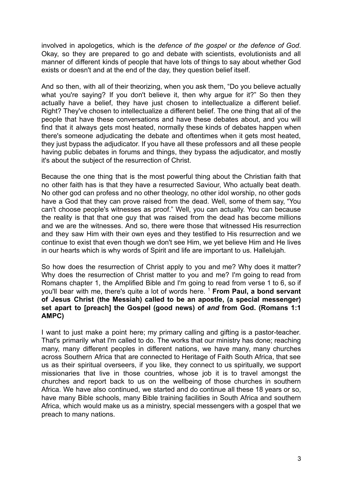involved in apologetics, which is the *defence of the gospel* or *the defence of God*. Okay, so they are prepared to go and debate with scientists, evolutionists and all manner of different kinds of people that have lots of things to say about whether God exists or doesn't and at the end of the day, they question belief itself.

And so then, with all of their theorizing, when you ask them, "Do you believe actually what you're saying? If you don't believe it, then why argue for it?" So then they actually have a belief, they have just chosen to intellectualize a different belief. Right? They've chosen to intellectualize a different belief. The one thing that all of the people that have these conversations and have these debates about, and you will find that it always gets most heated, normally these kinds of debates happen when there's someone adjudicating the debate and oftentimes when it gets most heated. they just bypass the adjudicator. If you have all these professors and all these people having public debates in forums and things, they bypass the adjudicator, and mostly it's about the subject of the resurrection of Christ.

Because the one thing that is the most powerful thing about the Christian faith that no other faith has is that they have a resurrected Saviour, Who actually beat death. No other god can profess and no other theology, no other idol worship, no other gods have a God that they can prove raised from the dead. Well, some of them say, "You can't choose people's witnesses as proof." Well, you can actually. You can because the reality is that that one guy that was raised from the dead has become millions and we are the witnesses. And so, there were those that witnessed His resurrection and they saw Him with their own eyes and they testified to His resurrection and we continue to exist that even though we don't see Him, we yet believe Him and He lives in our hearts which is why words of Spirit and life are important to us. Hallelujah.

So how does the resurrection of Christ apply to you and me? Why does it matter? Why does the resurrection of Christ matter to you and me? I'm going to read from Romans chapter 1, the Amplified Bible and I'm going to read from verse 1 to 6, so if you'll bear with me, there's quite a lot of words here. <sup>1</sup> **From Paul, a bond servant of Jesus Christ (the Messiah) called to be an apostle, (a special messenger) set apart to [preach] the Gospel (good news) of** *and* **from God. (Romans 1:1 AMPC)**

I want to just make a point here; my primary calling and gifting is a pastor-teacher. That's primarily what I'm called to do. The works that our ministry has done; reaching many, many different peoples in different nations, we have many, many churches across Southern Africa that are connected to Heritage of Faith South Africa, that see us as their spiritual overseers, if you like, they connect to us spiritually, we support missionaries that live in those countries, whose job it is to travel amongst the churches and report back to us on the wellbeing of those churches in southern Africa. We have also continued, we started and do continue all these 18 years or so, have many Bible schools, many Bible training facilities in South Africa and southern Africa, which would make us as a ministry, special messengers with a gospel that we preach to many nations.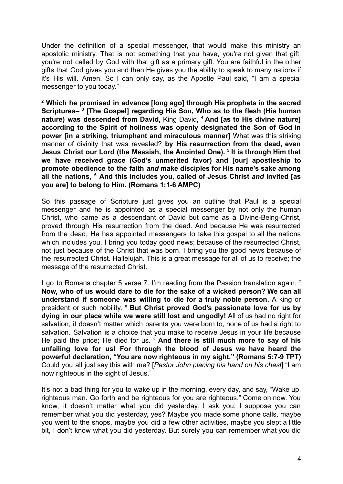Under the definition of a special messenger, that would make this ministry an apostolic ministry. That is not something that you have, you're not given that gift, you're not called by God with that gift as a primary gift. You are faithful in the other gifts that God gives you and then He gives you the ability to speak to many nations if it's His will. Amen. So I can only say, as the Apostle Paul said, "I am a special messenger to you today."

**<sup>2</sup> Which he promised in advance [long ago] through His prophets in the sacred Scriptures– <sup>3</sup> [The Gospel] regarding His Son, Who as to the flesh (His human nature) was descended from David,** King David**, <sup>4</sup> And [as to His divine nature] according to the Spirit of holiness was openly designated the Son of God in power [in a striking, triumphant and miraculous manner]** What was this striking manner of divinity that was revealed? **by His resurrection from the dead, even Jesus Christ our Lord (the Messiah, the Anointed One). <sup>5</sup> It is through Him that we have received grace (God's unmerited favor) and [our] apostleship to promote obedience to the faith** *and* **make disciples for His name's sake among all the nations, <sup>6</sup> And this includes you, called of Jesus Christ** *and* **invited [as you are] to belong to Him. (Romans 1:1-6 AMPC)**

So this passage of Scripture just gives you an outline that Paul is a special messenger and he is appointed as a special messenger by not only the human Christ, who came as a descendant of David but came as a Divine-Being-Christ, proved through His resurrection from the dead. And because He was resurrected from the dead, He has appointed messengers to take this gospel to all the nations which includes you. I bring you today good news; because of the resurrected Christ, not just because of the Christ that was born. I bring you the good news because of the resurrected Christ. Hallelujah. This is a great message for all of us to receive; the message of the resurrected Christ.

I go to Romans chapter 5 verse 7. I'm reading from the Passion translation again: <sup>1</sup> **Now, who of us would dare to die for the sake of a wicked person? We can all understand if someone was willing to die for a truly noble person.** A king or president or such nobility. ⁸ **But Christ proved God's passionate love for us by dying in our place while we were still lost and ungodly!** All of us had no right for salvation; it doesn't matter which parents you were born to, none of us had a right to salvation. Salvation is a choice that you make to receive Jesus in your life because He paid the price; He died for us. ⁹ **And there is still much more to say of his unfailing love for us! For through the blood of Jesus we have heard the powerful declaration, "You are now righteous in my sight." (Romans 5:7-9 TPT)** Could you all just say this with me? [*Pastor John placing his hand on his chest*] "I am now righteous in the sight of Jesus."

It's not a bad thing for you to wake up in the morning, every day, and say, "Wake up, righteous man. Go forth and be righteous for you are righteous." Come on now. You know, it doesn't matter what you did yesterday. I ask you; I suppose you can remember what you did yesterday, yes? Maybe you made some phone calls, maybe you went to the shops, maybe you did a few other activities, maybe you slept a little bit, I don't know what you did yesterday. But surely you can remember what you did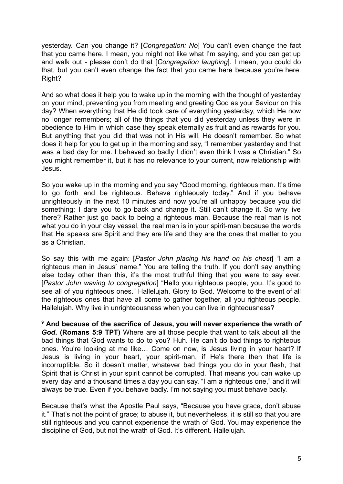yesterday. Can you change it? [*Congregation: No*] You can't even change the fact that you came here. I mean, you might not like what I'm saying, and you can get up and walk out - please don't do that [*Congregation laughing*]. I mean, you could do that, but you can't even change the fact that you came here because you're here. Right?

And so what does it help you to wake up in the morning with the thought of yesterday on your mind, preventing you from meeting and greeting God as your Saviour on this day? When everything that He did took care of everything yesterday, which He now no longer remembers; all of the things that you did yesterday unless they were in obedience to Him in which case they speak eternally as fruit and as rewards for you. But anything that you did that was not in His will, He doesn't remember. So what does it help for you to get up in the morning and say, "I remember yesterday and that was a bad day for me. I behaved so badly I didn't even think I was a Christian." So you might remember it, but it has no relevance to your current, now relationship with Jesus.

So you wake up in the morning and you say "Good morning, righteous man. It's time to go forth and be righteous. Behave righteously today." And if you behave unrighteously in the next 10 minutes and now you're all unhappy because you did something; I dare you to go back and change it. Still can't change it. So why live there? Rather just go back to being a righteous man. Because the real man is not what you do in your clay vessel, the real man is in your spirit-man because the words that He speaks are Spirit and they are life and they are the ones that matter to you as a Christian.

So say this with me again: [*Pastor John placing his hand on his chest*] "I am a righteous man in Jesus' name." You are telling the truth. If you don't say anything else today other than this, it's the most truthful thing that you were to say ever. [*Pastor John waving to congregation*] "Hello you righteous people, you. It's good to see all of you righteous ones." Hallelujah. Glory to God. Welcome to the event of all the righteous ones that have all come to gather together, all you righteous people. Hallelujah. Why live in unrighteousness when you can live in righteousness?

**<sup>9</sup> And because of the sacrifice of Jesus, you will never experience the wrath** *of God***. (Romans 5:9 TPT)** Where are all those people that want to talk about all the bad things that God wants to do to you? Huh. He can't do bad things to righteous ones. You're looking at me like… Come on now, is Jesus living in your heart? If Jesus is living in your heart, your spirit-man, if He's there then that life is incorruptible. So it doesn't matter, whatever bad things you do in your flesh, that Spirit that is Christ in your spirit cannot be corrupted. That means you can wake up every day and a thousand times a day you can say, "I am a righteous one," and it will always be true. Even if you behave badly. I'm not saying you must behave badly.

Because that's what the Apostle Paul says, "Because you have grace, don't abuse it." That's not the point of grace; to abuse it, but nevertheless, it is still so that you are still righteous and you cannot experience the wrath of God. You may experience the discipline of God, but not the wrath of God. It's different. Hallelujah.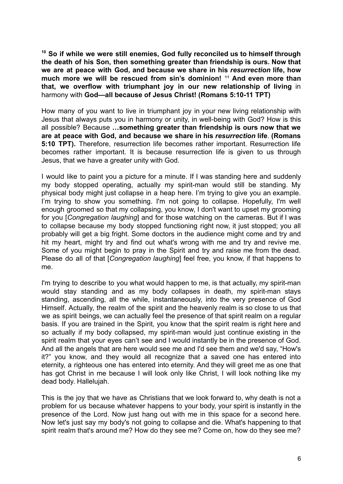**<sup>10</sup> So if while we were still enemies, God fully reconciled us to himself through the death of his Son, then something greater than friendship is ours. Now that we are at peace with God, and because we share in his** *resurrection* **life, how much** more we will be rescued from sin's dominion! <sup>11</sup> And even more than **that, we overflow with triumphant joy in our new relationship of living** in harmony with **God—all because of Jesus Christ! (Romans 5:10-11 TPT)**

How many of you want to live in triumphant joy in your new living relationship with Jesus that always puts you in harmony or unity, in well-being with God? How is this all possible? Because **…something greater than friendship is ours now that we are at peace with God, and because we share in his** *resurrection* **life**. **(Romans 5:10 TPT).** Therefore, resurrection life becomes rather important. Resurrection life becomes rather important. It is because resurrection life is given to us through Jesus, that we have a greater unity with God.

I would like to paint you a picture for a minute. If I was standing here and suddenly my body stopped operating, actually my spirit-man would still be standing. My physical body might just collapse in a heap here. I'm trying to give you an example. I'm trying to show you something. I'm not going to collapse. Hopefully, I'm well enough groomed so that my collapsing, you know, I don't want to upset my grooming for you [*Congregation laughing*] and for those watching on the cameras. But if I was to collapse because my body stopped functioning right now, it just stopped; you all probably will get a big fright. Some doctors in the audience might come and try and hit my heart, might try and find out what's wrong with me and try and revive me. Some of you might begin to pray in the Spirit and try and raise me from the dead. Please do all of that [*Congregation laughing*] feel free, you know, if that happens to me.

I'm trying to describe to you what would happen to me, is that actually, my spirit-man would stay standing and as my body collapses in death, my spirit-man stays standing, ascending, all the while, instantaneously, into the very presence of God Himself. Actually, the realm of the spirit and the heavenly realm is so close to us that we as spirit beings, we can actually feel the presence of that spirit realm on a regular basis. If you are trained in the Spirit, you know that the spirit realm is right here and so actually if my body collapsed, my spirit-man would just continue existing in the spirit realm that your eyes can't see and I would instantly be in the presence of God. And all the angels that are here would see me and I'd see them and we'd say, "How's it?" you know, and they would all recognize that a saved one has entered into eternity, a righteous one has entered into eternity. And they will greet me as one that has got Christ in me because I will look only like Christ, I will look nothing like my dead body. Hallelujah.

This is the joy that we have as Christians that we look forward to, why death is not a problem for us because whatever happens to your body, your spirit is instantly in the presence of the Lord. Now just hang out with me in this space for a second here. Now let's just say my body's not going to collapse and die. What's happening to that spirit realm that's around me? How do they see me? Come on, how do they see me?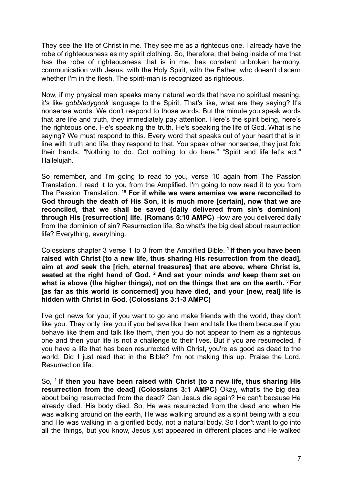They see the life of Christ in me. They see me as a righteous one. I already have the robe of righteousness as my spirit clothing. So, therefore, that being inside of me that has the robe of righteousness that is in me, has constant unbroken harmony, communication with Jesus, with the Holy Spirit, with the Father, who doesn't discern whether I'm in the flesh. The spirit-man is recognized as righteous.

Now, if my physical man speaks many natural words that have no spiritual meaning, it's like *gobbledygook* language to the Spirit. That's like, what are they saying? It's nonsense words. We don't respond to those words. But the minute you speak words that are life and truth, they immediately pay attention. Here's the spirit being, here's the righteous one. He's speaking the truth. He's speaking the life of God. What is he saying? We must respond to this. Every word that speaks out of your heart that is in line with truth and life, they respond to that. You speak other nonsense, they just fold their hands. "Nothing to do. Got nothing to do here." "Spirit and life let's act." Hallelujah.

So remember, and I'm going to read to you, verse 10 again from The Passion Translation. I read it to you from the Amplified. I'm going to now read it to you from The Passion Translation. **<sup>10</sup> For if while we were enemies we were reconciled to God through the death of His Son, it is much more [certain], now that we are reconciled, that we shall be saved (daily delivered from sin's dominion) through His [resurrection] life. (Romans 5:10 AMPC)** How are you delivered daily from the dominion of sin? Resurrection life. So what's the big deal about resurrection life? Everything, everything.

Colossians chapter 3 verse 1 to 3 from the Amplified Bible. **<sup>1</sup> If then you have been raised with Christ [to a new life, thus sharing His resurrection from the dead], aim at** *and* **seek the [rich, eternal treasures] that are above, where Christ is, seated at the right hand of God. <sup>2</sup> And set your minds** *and* **keep them set on what is above (the higher things), not on the things that are on the earth. <sup>3</sup> For [as far as this world is concerned] you have died, and your [new, real] life is hidden with Christ in God. (Colossians 3:1-3 AMPC)**

I've got news for you; if you want to go and make friends with the world, they don't like you. They only like you if you behave like them and talk like them because if you behave like them and talk like them, then you do not appear to them as a righteous one and then your life is not a challenge to their lives. But if you are resurrected, if you have a life that has been resurrected with Christ, you're as good as dead to the world. Did I just read that in the Bible? I'm not making this up. Praise the Lord. Resurrection life.

So, **<sup>1</sup> If then you have been raised with Christ [to a new life, thus sharing His resurrection from the dead] (Colossians 3:1 AMPC)** Okay, what's the big deal about being resurrected from the dead? Can Jesus die again? He can't because He already died. His body died. So, He was resurrected from the dead and when He was walking around on the earth, He was walking around as a spirit being with a soul and He was walking in a glorified body, not a natural body. So I don't want to go into all the things, but you know, Jesus just appeared in different places and He walked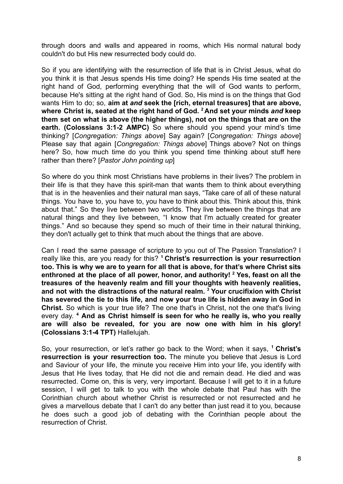through doors and walls and appeared in rooms, which His normal natural body couldn't do but His new resurrected body could do.

So if you are identifying with the resurrection of life that is in Christ Jesus, what do you think it is that Jesus spends His time doing? He spends His time seated at the right hand of God, performing everything that the will of God wants to perform, because He's sitting at the right hand of God. So, His mind is on the things that God wants Him to do; so, **aim at** *and* **seek the [rich, eternal treasures] that are above, where Christ is, seated at the right hand of God. <sup>2</sup> And set your minds** *and* **keep them set on what is above (the higher things), not on the things that are on the earth. (Colossians 3:1-2 AMPC)** So where should you spend your mind's time thinking? [*Congregation: Things above*] Say again? [*Congregation: Things above*] Please say that again [*Congregation: Things above*] Things above? Not on things here? So, how much time do you think you spend time thinking about stuff here rather than there? [*Pastor John pointing up*]

So where do you think most Christians have problems in their lives? The problem in their life is that they have this spirit-man that wants them to think about everything that is in the heavenlies and their natural man says, "Take care of all of these natural things. You have to, you have to, you have to think about this. Think about this, think about that." So they live between two worlds. They live between the things that are natural things and they live between, "I know that I'm actually created for greater things." And so because they spend so much of their time in their natural thinking, they don't actually get to think that much about the things that are above.

Can I read the same passage of scripture to you out of The Passion Translation? I really like this, are you ready for this? **<sup>1</sup> Christ's resurrection is your resurrection too. This is why we are to yearn for all that is above, for that's where Christ sits enthroned at the place of all power, honor, and authority! <sup>2</sup> Yes, feast on all the treasures of the heavenly realm and fill your thoughts with heavenly realities, and not with the distractions of the natural realm. <sup>3</sup> Your crucifixion with Christ has severed the tie to this life, and now your true life is hidden away in God in Christ.** So which is your true life? The one that's in Christ, not the one that's living every day. **<sup>4</sup> And as Christ himself is seen for who he really is, who you really are will also be revealed, for you are now one with him in his glory! (Colossians 3:1-4 TPT)** Hallelujah.

So, your resurrection, or let's rather go back to the Word; when it says, **<sup>1</sup> Christ's resurrection is your resurrection too.** The minute you believe that Jesus is Lord and Saviour of your life, the minute you receive Him into your life, you identify with Jesus that He lives today, that He did not die and remain dead. He died and was resurrected. Come on, this is very, very important. Because I will get to it in a future session, I will get to talk to you with the whole debate that Paul has with the Corinthian church about whether Christ is resurrected or not resurrected and he gives a marvellous debate that I can't do any better than just read it to you, because he does such a good job of debating with the Corinthian people about the resurrection of Christ.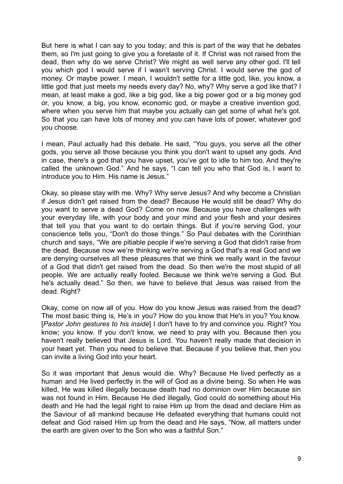But here is what I can say to you today; and this is part of the way that he debates them, so I'm just going to give you a foretaste of it. If Christ was not raised from the dead, then why do we serve Christ? We might as well serve any other god. I'll tell you which god I would serve if I wasn't serving Christ. I would serve the god of money. Or maybe power. I mean, I wouldn't settle for a little god, like, you know, a little god that just meets my needs every day? No, why? Why serve a god like that? I mean, at least make a god, like a big god, like a big power god or a big money god or, you know, a big, you know, economic god, or maybe a creative invention god, where when you serve him that maybe you actually can get some of what he's got. So that you can have lots of money and you can have lots of power, whatever god you choose.

I mean, Paul actually had this debate. He said, "You guys, you serve all the other gods, you serve all those because you think you don't want to upset any gods. And in case, there's a god that you have upset, you've got to idle to him too. And they're called the unknown God." And he says, "I can tell you who that God is, I want to introduce you to Him. His name is Jesus."

Okay, so please stay with me. Why? Why serve Jesus? And why become a Christian if Jesus didn't get raised from the dead? Because He would still be dead? Why do you want to serve a dead God? Come on now. Because you have challenges with your everyday life, with your body and your mind and your flesh and your desires that tell you that you want to do certain things. But if you're serving God, your conscience tells you, "Don't do those things." So Paul debates with the Corinthian church and says, "We are pitiable people if we're serving a God that didn't raise from the dead. Because now we're thinking we're serving a God that's a real God and we are denying ourselves all these pleasures that we think we really want in the favour of a God that didn't get raised from the dead. So then we're the most stupid of all people. We are actually really fooled. Because we think we're serving a God. But he's actually dead." So then, we have to believe that Jesus was raised from the dead. Right?

Okay, come on now all of you. How do you know Jesus was raised from the dead? The most basic thing is, He's in you? How do you know that He's in you? You know. [*Pastor John gestures to his inside*] I don't have to try and convince you. Right? You know; you know. If you don't know, we need to pray with you. Because then you haven't really believed that Jesus is Lord. You haven't really made that decision in your heart yet. Then you need to believe that. Because if you believe that, then you can invite a living God into your heart.

So it was important that Jesus would die. Why? Because He lived perfectly as a human and He lived perfectly in the will of God as a divine being. So when He was killed, He was killed illegally because death had no dominion over Him because sin was not found in Him. Because He died illegally, God could do something about His death and He had the legal right to raise Him up from the dead and declare Him as the Saviour of all mankind because He defeated everything that humans could not defeat and God raised Him up from the dead and He says, "Now, all matters under the earth are given over to the Son who was a faithful Son."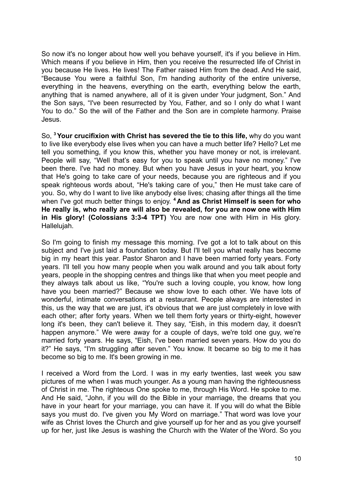So now it's no longer about how well you behave yourself, it's if you believe in Him. Which means if you believe in Him, then you receive the resurrected life of Christ in you because He lives. He lives! The Father raised Him from the dead. And He said, "Because You were a faithful Son, I'm handing authority of the entire universe, everything in the heavens, everything on the earth, everything below the earth, anything that is named anywhere, all of it is given under Your judgment, Son." And the Son says, "I've been resurrected by You, Father, and so I only do what I want You to do." So the will of the Father and the Son are in complete harmony. Praise Jesus.

So, **<sup>3</sup>Your crucifixion with Christ has severed the tie to this life,** why do you want to live like everybody else lives when you can have a much better life? Hello? Let me tell you something, if you know this, whether you have money or not, is irrelevant. People will say, "Well that's easy for you to speak until you have no money." I've been there. I've had no money. But when you have Jesus in your heart, you know that He's going to take care of your needs, because you are righteous and if you speak righteous words about, "He's taking care of you," then He must take care of you. So, why do I want to live like anybody else lives; chasing after things all the time when I've got much better things to enjoy. **<sup>4</sup> And as Christ Himself is seen for who He really is, who really are will also be revealed, for you are now one with Him in His glory! (Colossians 3:3-4 TPT)** You are now one with Him in His glory. Hallelujah.

So I'm going to finish my message this morning. I've got a lot to talk about on this subject and I've just laid a foundation today. But I'll tell you what really has become big in my heart this year. Pastor Sharon and I have been married forty years. Forty years. I'll tell you how many people when you walk around and you talk about forty years, people in the shopping centres and things like that when you meet people and they always talk about us like, "You're such a loving couple, you know, how long have you been married?" Because we show love to each other. We have lots of wonderful, intimate conversations at a restaurant. People always are interested in this, us the way that we are just, it's obvious that we are just completely in love with each other; after forty years. When we tell them forty years or thirty-eight, however long it's been, they can't believe it. They say, "Eish, in this modern day, it doesn't happen anymore." We were away for a couple of days, we're told one guy, we're married forty years. He says, "Eish, I've been married seven years. How do you do it?" He says, "I'm struggling after seven." You know. It became so big to me it has become so big to me. It's been growing in me.

I received a Word from the Lord. I was in my early twenties, last week you saw pictures of me when I was much younger. As a young man having the righteousness of Christ in me. The righteous One spoke to me, through His Word. He spoke to me. And He said, "John, if you will do the Bible in your marriage, the dreams that you have in your heart for your marriage, you can have it. If you will do what the Bible says you must do. I've given you My Word on marriage." That word was love your wife as Christ loves the Church and give yourself up for her and as you give yourself up for her, just like Jesus is washing the Church with the Water of the Word. So you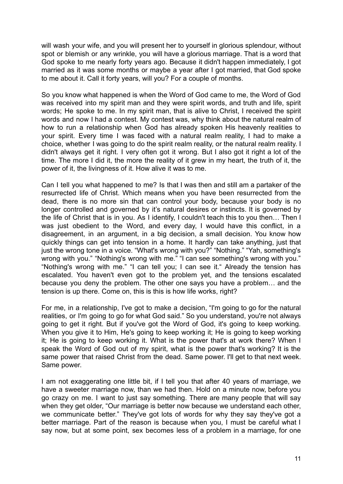will wash your wife, and you will present her to yourself in glorious splendour, without spot or blemish or any wrinkle, you will have a glorious marriage. That is a word that God spoke to me nearly forty years ago. Because it didn't happen immediately, I got married as it was some months or maybe a year after I got married, that God spoke to me about it. Call it forty years, will you? For a couple of months.

So you know what happened is when the Word of God came to me, the Word of God was received into my spirit man and they were spirit words, and truth and life, spirit words; He spoke to me. In my spirit man, that is alive to Christ, I received the spirit words and now I had a contest. My contest was, why think about the natural realm of how to run a relationship when God has already spoken His heavenly realities to your spirit. Every time I was faced with a natural realm reality, I had to make a choice, whether I was going to do the spirit realm reality, or the natural realm reality. I didn't always get it right. I very often got it wrong. But I also got it right a lot of the time. The more I did it, the more the reality of it grew in my heart, the truth of it, the power of it, the livingness of it. How alive it was to me.

Can I tell you what happened to me? Is that I was then and still am a partaker of the resurrected life of Christ. Which means when you have been resurrected from the dead, there is no more sin that can control your body, because your body is no longer controlled and governed by it's natural desires or instincts. It is governed by the life of Christ that is in you. As I identify, I couldn't teach this to you then… Then I was just obedient to the Word, and every day, I would have this conflict, in a disagreement, in an argument, in a big decision, a small decision. You know how quickly things can get into tension in a home. It hardly can take anything, just that just the wrong tone in a voice. "What's wrong with you?" "Nothing." "Yah, something's wrong with you." "Nothing's wrong with me." "I can see something's wrong with you." "Nothing's wrong with me." "I can tell you; I can see it." Already the tension has escalated. You haven't even got to the problem yet, and the tensions escalated because you deny the problem. The other one says you have a problem… and the tension is up there. Come on, this is this is how life works, right?

For me, in a relationship, I've got to make a decision, "I'm going to go for the natural realities, or I'm going to go for what God said." So you understand, you're not always going to get it right. But if you've got the Word of God, it's going to keep working. When you give it to Him, He's going to keep working it; He is going to keep working it; He is going to keep working it. What is the power that's at work there? When I speak the Word of God out of my spirit, what is the power that's working? It is the same power that raised Christ from the dead. Same power. I'll get to that next week. Same power.

I am not exaggerating one little bit, if I tell you that after 40 years of marriage, we have a sweeter marriage now, than we had then. Hold on a minute now, before you go crazy on me. I want to just say something. There are many people that will say when they get older, "Our marriage is better now because we understand each other, we communicate better." They've got lots of words for why they say they've got a better marriage. Part of the reason is because when you, I must be careful what I say now, but at some point, sex becomes less of a problem in a marriage, for one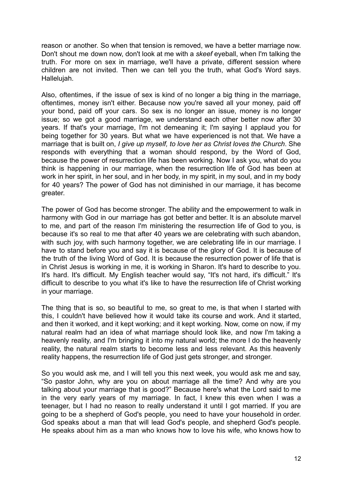reason or another. So when that tension is removed, we have a better marriage now. Don't shout me down now, don't look at me with a *skeef* eyeball, when I'm talking the truth. For more on sex in marriage, we'll have a private, different session where children are not invited. Then we can tell you the truth, what God's Word says. Hallelujah.

Also, oftentimes, if the issue of sex is kind of no longer a big thing in the marriage, oftentimes, money isn't either. Because now you're saved all your money, paid off your bond, paid off your cars. So sex is no longer an issue, money is no longer issue; so we got a good marriage, we understand each other better now after 30 years. If that's your marriage, I'm not demeaning it; I'm saying I applaud you for being together for 30 years. But what we have experienced is not that. We have a marriage that is built on, *I give up myself, to love her as Christ loves the Church*. She responds with everything that a woman should respond, by the Word of God, because the power of resurrection life has been working. Now I ask you, what do you think is happening in our marriage, when the resurrection life of God has been at work in her spirit, in her soul, and in her body, in my spirit, in my soul, and in my body for 40 years? The power of God has not diminished in our marriage, it has become greater.

The power of God has become stronger. The ability and the empowerment to walk in harmony with God in our marriage has got better and better. It is an absolute marvel to me, and part of the reason I'm ministering the resurrection life of God to you, is because it's so real to me that after 40 years we are celebrating with such abandon, with such joy, with such harmony together, we are celebrating life in our marriage. I have to stand before you and say it is because of the glory of God. It is because of the truth of the living Word of God. It is because the resurrection power of life that is in Christ Jesus is working in me, it is working in Sharon. It's hard to describe to you. It's hard. It's difficult. My English teacher would say, "It's not hard, it's difficult." It's difficult to describe to you what it's like to have the resurrection life of Christ working in your marriage.

The thing that is so, so beautiful to me, so great to me, is that when I started with this, I couldn't have believed how it would take its course and work. And it started, and then it worked, and it kept working; and it kept working. Now, come on now, if my natural realm had an idea of what marriage should look like, and now I'm taking a heavenly reality, and I'm bringing it into my natural world; the more I do the heavenly reality, the natural realm starts to become less and less relevant. As this heavenly reality happens, the resurrection life of God just gets stronger, and stronger.

So you would ask me, and I will tell you this next week, you would ask me and say, "So pastor John, why are you on about marriage all the time? And why are you talking about your marriage that is good?" Because here's what the Lord said to me in the very early years of my marriage. In fact, I knew this even when I was a teenager, but I had no reason to really understand it until I got married. If you are going to be a shepherd of God's people, you need to have your household in order. God speaks about a man that will lead God's people, and shepherd God's people. He speaks about him as a man who knows how to love his wife, who knows how to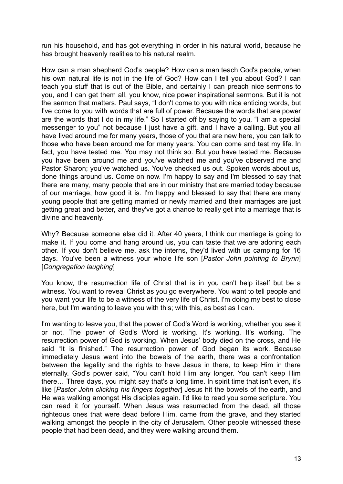run his household, and has got everything in order in his natural world, because he has brought heavenly realities to his natural realm.

How can a man shepherd God's people? How can a man teach God's people, when his own natural life is not in the life of God? How can I tell you about God? I can teach you stuff that is out of the Bible, and certainly I can preach nice sermons to you, and I can get them all, you know, nice power inspirational sermons. But it is not the sermon that matters. Paul says, "I don't come to you with nice enticing words, but I've come to you with words that are full of power. Because the words that are power are the words that I do in my life." So I started off by saying to you, "I am a special messenger to you" not because I just have a gift, and I have a calling. But you all have lived around me for many years, those of you that are new here, you can talk to those who have been around me for many years. You can come and test my life. In fact, you have tested me. You may not think so. But you have tested me. Because you have been around me and you've watched me and you've observed me and Pastor Sharon; you've watched us. You've checked us out. Spoken words about us, done things around us. Come on now. I'm happy to say and I'm blessed to say that there are many, many people that are in our ministry that are married today because of our marriage, how good it is. I'm happy and blessed to say that there are many young people that are getting married or newly married and their marriages are just getting great and better, and they've got a chance to really get into a marriage that is divine and heavenly.

Why? Because someone else did it. After 40 years, I think our marriage is going to make it. If you come and hang around us, you can taste that we are adoring each other. If you don't believe me, ask the interns, they'd lived with us camping for 16 days. You've been a witness your whole life son [*Pastor John pointing to Brynn*] [*Congregation laughing*]

You know, the resurrection life of Christ that is in you can't help itself but be a witness. You want to reveal Christ as you go everywhere. You want to tell people and you want your life to be a witness of the very life of Christ. I'm doing my best to close here, but I'm wanting to leave you with this; with this, as best as I can.

I'm wanting to leave you, that the power of God's Word is working, whether you see it or not. The power of God's Word is working. It's working. It's working. The resurrection power of God is working. When Jesus' body died on the cross, and He said "It is finished." The resurrection power of God began its work. Because immediately Jesus went into the bowels of the earth, there was a confrontation between the legality and the rights to have Jesus in there, to keep Him in there eternally. God's power said, "You can't hold Him any longer. You can't keep Him there… Three days, you might say that's a long time. In spirit time that isn't even, it's like [*Pastor John clicking his fingers together*] Jesus hit the bowels of the earth, and He was walking amongst His disciples again. I'd like to read you some scripture. You can read it for yourself. When Jesus was resurrected from the dead, all those righteous ones that were dead before Him, came from the grave, and they started walking amongst the people in the city of Jerusalem. Other people witnessed these people that had been dead, and they were walking around them.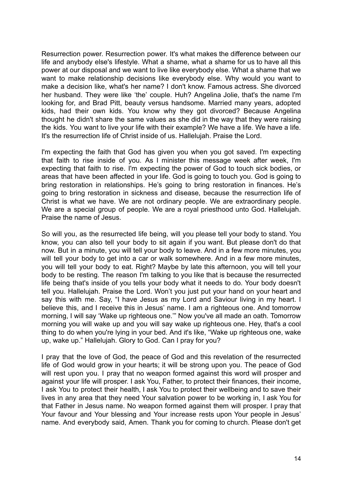Resurrection power. Resurrection power. It's what makes the difference between our life and anybody else's lifestyle. What a shame, what a shame for us to have all this power at our disposal and we want to live like everybody else. What a shame that we want to make relationship decisions like everybody else. Why would you want to make a decision like, what's her name? I don't know. Famous actress. She divorced her husband. They were like 'the' couple. Huh? Angelina Jolie, that's the name I'm looking for, and Brad Pitt, beauty versus handsome. Married many years, adopted kids, had their own kids. You know why they got divorced? Because Angelina thought he didn't share the same values as she did in the way that they were raising the kids. You want to live your life with their example? We have a life. We have a life. It's the resurrection life of Christ inside of us. Hallelujah. Praise the Lord.

I'm expecting the faith that God has given you when you got saved. I'm expecting that faith to rise inside of you. As I minister this message week after week, I'm expecting that faith to rise. I'm expecting the power of God to touch sick bodies, or areas that have been affected in your life. God is going to touch you. God is going to bring restoration in relationships. He's going to bring restoration in finances. He's going to bring restoration in sickness and disease, because the resurrection life of Christ is what we have. We are not ordinary people. We are extraordinary people. We are a special group of people. We are a royal priesthood unto God. Hallelujah. Praise the name of Jesus.

So will you, as the resurrected life being, will you please tell your body to stand. You know, you can also tell your body to sit again if you want. But please don't do that now. But in a minute, you will tell your body to leave. And in a few more minutes, you will tell your body to get into a car or walk somewhere. And in a few more minutes, you will tell your body to eat. Right? Maybe by late this afternoon, you will tell your body to be resting. The reason I'm talking to you like that is because the resurrected life being that's inside of you tells your body what it needs to do. Your body doesn't tell you. Hallelujah. Praise the Lord. Won't you just put your hand on your heart and say this with me. Say, "I have Jesus as my Lord and Saviour living in my heart. I believe this, and I receive this in Jesus' name. I am a righteous one. And tomorrow morning, I will say 'Wake up righteous one.'" Now you've all made an oath. Tomorrow morning you will wake up and you will say wake up righteous one. Hey, that's a cool thing to do when you're lying in your bed. And it's like, "Wake up righteous one, wake up, wake up." Hallelujah. Glory to God. Can I pray for you?

I pray that the love of God, the peace of God and this revelation of the resurrected life of God would grow in your hearts; it will be strong upon you. The peace of God will rest upon you. I pray that no weapon formed against this word will prosper and against your life will prosper. I ask You, Father, to protect their finances, their income, I ask You to protect their health, I ask You to protect their wellbeing and to save their lives in any area that they need Your salvation power to be working in, I ask You for that Father in Jesus name. No weapon formed against them will prosper. I pray that Your favour and Your blessing and Your increase rests upon Your people in Jesus' name. And everybody said, Amen. Thank you for coming to church. Please don't get